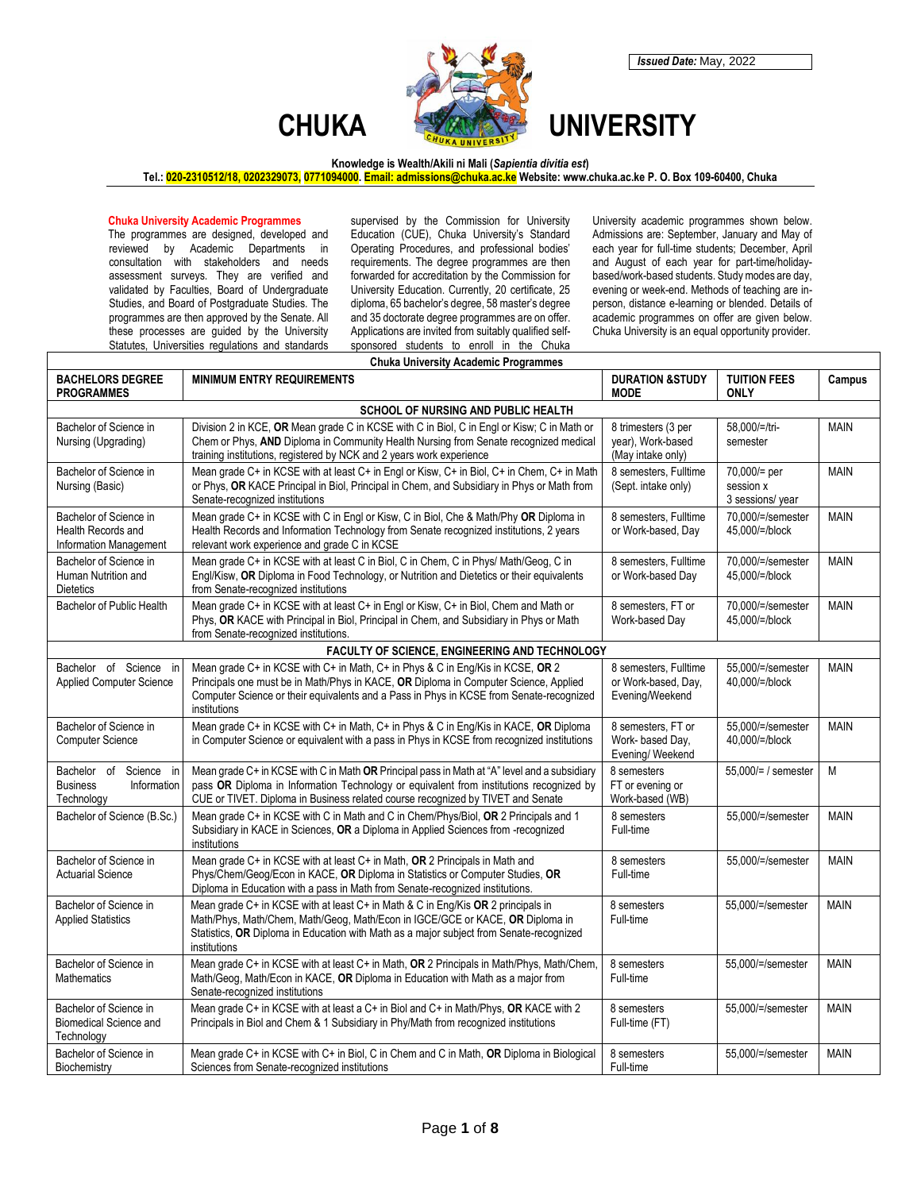

## **Knowledge is Wealth/Akili ni Mali (***Sapientia divitia est***)**

**Tel.: 020-2310512/18, 0202329073, 0771094000. Email: admissions@chuka.ac.ke Website[: www.chuka.ac.ke](http://www.chuka.ac.ke/) P. O. Box 109-60400, Chuka**

## **Chuka University Academic Programmes**

The programmes are designed, developed and reviewed by Academic Departments in consultation with stakeholders and needs assessment surveys. They are verified and validated by Faculties, Board of Undergraduate Studies, and Board of Postgraduate Studies. The programmes are then approved by the Senate. All these processes are guided by the University Statutes, Universities regulations and standards

supervised by the Commission for University Education (CUE), Chuka University's Standard Operating Procedures, and professional bodies' requirements. The degree programmes are then forwarded for accreditation by the Commission for University Education. Currently, 20 certificate, 25 diploma, 65 bachelor's degree, 58 master's degree and 35 doctorate degree programmes are on offer. Applications are invited from suitably qualified selfsponsored students to enroll in the Chuka

University academic programmes shown below. Admissions are: September, January and May of each year for full-time students; December, April and August of each year for part-time/holidaybased/work-based students. Study modes are day, evening or week-end. Methods of teaching are inperson, distance e-learning or blended. Details of academic programmes on offer are given below. Chuka University is an equal opportunity provider.

|                                                                           | <b>Chuka University Academic Programmes</b>                                                                                                                                                                                                                                       |                                                                 |                                               |             |  |  |
|---------------------------------------------------------------------------|-----------------------------------------------------------------------------------------------------------------------------------------------------------------------------------------------------------------------------------------------------------------------------------|-----------------------------------------------------------------|-----------------------------------------------|-------------|--|--|
| <b>BACHELORS DEGREE</b><br><b>PROGRAMMES</b>                              | <b>MINIMUM ENTRY REQUIREMENTS</b>                                                                                                                                                                                                                                                 | <b>DURATION &amp;STUDY</b><br><b>MODE</b>                       | <b>TUITION FEES</b><br><b>ONLY</b>            | Campus      |  |  |
| SCHOOL OF NURSING AND PUBLIC HEALTH                                       |                                                                                                                                                                                                                                                                                   |                                                                 |                                               |             |  |  |
| Bachelor of Science in<br>Nursing (Upgrading)                             | Division 2 in KCE, OR Mean grade C in KCSE with C in Biol, C in Engl or Kisw; C in Math or<br>Chem or Phys, AND Diploma in Community Health Nursing from Senate recognized medical<br>training institutions, registered by NCK and 2 years work experience                        | 8 trimesters (3 per<br>year), Work-based<br>(May intake only)   | 58.000/=/tri-<br>semester                     | <b>MAIN</b> |  |  |
| Bachelor of Science in<br>Nursing (Basic)                                 | Mean grade C+ in KCSE with at least C+ in Engl or Kisw, C+ in Biol, C+ in Chem, C+ in Math<br>or Phys, OR KACE Principal in Biol, Principal in Chem, and Subsidiary in Phys or Math from<br>Senate-recognized institutions                                                        | 8 semesters, Fulltime<br>(Sept. intake only)                    | 70,000/= per<br>session x<br>3 sessions/ year | <b>MAIN</b> |  |  |
| Bachelor of Science in<br>Health Records and<br>Information Management    | Mean grade C+ in KCSE with C in Engl or Kisw, C in Biol, Che & Math/Phy OR Diploma in<br>Health Records and Information Technology from Senate recognized institutions, 2 years<br>relevant work experience and grade C in KCSE                                                   | 8 semesters, Fulltime<br>or Work-based, Day                     | 70,000/=/semester<br>45,000/=/block           | <b>MAIN</b> |  |  |
| Bachelor of Science in<br>Human Nutrition and<br><b>Dietetics</b>         | Mean grade C+ in KCSE with at least C in Biol, C in Chem, C in Phys/ Math/Geog, C in<br>Engl/Kisw, OR Diploma in Food Technology, or Nutrition and Dietetics or their equivalents<br>from Senate-recognized institutions                                                          | 8 semesters. Fulltime<br>or Work-based Day                      | 70.000/=/semester<br>45,000/=/block           | <b>MAIN</b> |  |  |
| Bachelor of Public Health                                                 | Mean grade C+ in KCSE with at least C+ in Engl or Kisw, C+ in Biol, Chem and Math or<br>Phys, OR KACE with Principal in Biol, Principal in Chem, and Subsidiary in Phys or Math<br>from Senate-recognized institutions.                                                           | 8 semesters. FT or<br>Work-based Day                            | 70.000/=/semester<br>45,000/=/block           | <b>MAIN</b> |  |  |
|                                                                           | FACULTY OF SCIENCE, ENGINEERING AND TECHNOLOGY                                                                                                                                                                                                                                    |                                                                 |                                               |             |  |  |
| Bachelor of Science in<br><b>Applied Computer Science</b>                 | Mean grade C+ in KCSE with C+ in Math, C+ in Phys & C in Eng/Kis in KCSE, OR 2<br>Principals one must be in Math/Phys in KACE, OR Diploma in Computer Science, Applied<br>Computer Science or their equivalents and a Pass in Phys in KCSE from Senate-recognized<br>institutions | 8 semesters. Fulltime<br>or Work-based, Day,<br>Evening/Weekend | 55.000/=/semester<br>40,000/=/block           | <b>MAIN</b> |  |  |
| Bachelor of Science in<br><b>Computer Science</b>                         | Mean grade C+ in KCSE with C+ in Math, C+ in Phys & C in Eng/Kis in KACE, OR Diploma<br>in Computer Science or equivalent with a pass in Phys in KCSE from recognized institutions                                                                                                | 8 semesters, FT or<br>Work- based Day,<br>Evening/ Weekend      | 55,000/=/semester<br>40,000/=/block           | <b>MAIN</b> |  |  |
| Bachelor of<br>Science in<br><b>Business</b><br>Information<br>Technology | Mean grade C+ in KCSE with C in Math OR Principal pass in Math at "A" level and a subsidiary<br>pass OR Diploma in Information Technology or equivalent from institutions recognized by<br>CUE or TIVET. Diploma in Business related course recognized by TIVET and Senate        | 8 semesters<br>FT or evening or<br>Work-based (WB)              | 55,000/= / semester                           | M           |  |  |
| Bachelor of Science (B.Sc.)                                               | Mean grade C+ in KCSE with C in Math and C in Chem/Phys/Biol, OR 2 Principals and 1<br>Subsidiary in KACE in Sciences, OR a Diploma in Applied Sciences from -recognized<br>institutions                                                                                          | 8 semesters<br>Full-time                                        | 55.000/=/semester                             | <b>MAIN</b> |  |  |
| Bachelor of Science in<br><b>Actuarial Science</b>                        | Mean grade C+ in KCSE with at least C+ in Math, OR 2 Principals in Math and<br>Phys/Chem/Geog/Econ in KACE, OR Diploma in Statistics or Computer Studies, OR<br>Diploma in Education with a pass in Math from Senate-recognized institutions.                                     | 8 semesters<br>Full-time                                        | 55.000/=/semester                             | <b>MAIN</b> |  |  |
| Bachelor of Science in<br><b>Applied Statistics</b>                       | Mean grade C+ in KCSE with at least C+ in Math & C in Eng/Kis OR 2 principals in<br>Math/Phys, Math/Chem, Math/Geog, Math/Econ in IGCE/GCE or KACE, OR Diploma in<br>Statistics, OR Diploma in Education with Math as a major subject from Senate-recognized<br>institutions      | 8 semesters<br>Full-time                                        | 55,000/=/semester                             | <b>MAIN</b> |  |  |
| Bachelor of Science in<br><b>Mathematics</b>                              | Mean grade C+ in KCSE with at least C+ in Math, OR 2 Principals in Math/Phys, Math/Chem,<br>Math/Geog, Math/Econ in KACE, OR Diploma in Education with Math as a major from<br>Senate-recognized institutions                                                                     | 8 semesters<br>Full-time                                        | 55,000/=/semester                             | <b>MAIN</b> |  |  |
| Bachelor of Science in<br><b>Biomedical Science and</b><br>Technology     | Mean grade C+ in KCSE with at least a C+ in Biol and C+ in Math/Phys, OR KACE with 2<br>Principals in Biol and Chem & 1 Subsidiary in Phy/Math from recognized institutions                                                                                                       | 8 semesters<br>Full-time (FT)                                   | 55,000/=/semester                             | <b>MAIN</b> |  |  |
| Bachelor of Science in<br>Biochemistry                                    | Mean grade C+ in KCSE with C+ in Biol, C in Chem and C in Math, OR Diploma in Biological<br>Sciences from Senate-recognized institutions                                                                                                                                          | 8 semesters<br>Full-time                                        | 55,000/=/semester                             | <b>MAIN</b> |  |  |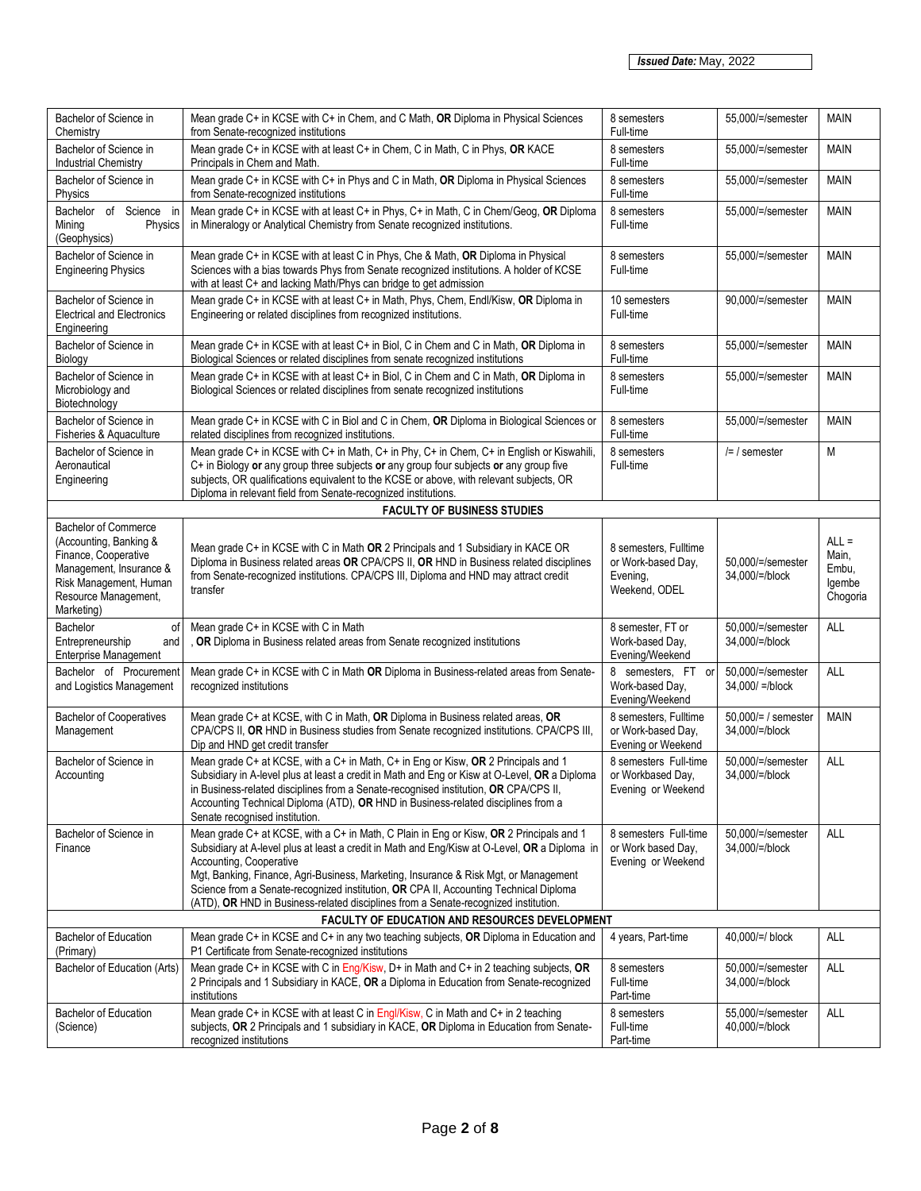| Bachelor of Science in<br>Chemistry                                                                                                                                      | Mean grade C+ in KCSE with C+ in Chem, and C Math, OR Diploma in Physical Sciences<br>from Senate-recognized institutions                                                                                                                                                                                                                                                                                                                                                                   | 8 semesters<br>Full-time                                                 | 55,000/=/semester                        | <b>MAIN</b>                                     |  |
|--------------------------------------------------------------------------------------------------------------------------------------------------------------------------|---------------------------------------------------------------------------------------------------------------------------------------------------------------------------------------------------------------------------------------------------------------------------------------------------------------------------------------------------------------------------------------------------------------------------------------------------------------------------------------------|--------------------------------------------------------------------------|------------------------------------------|-------------------------------------------------|--|
| Bachelor of Science in<br><b>Industrial Chemistry</b>                                                                                                                    | Mean grade C+ in KCSE with at least C+ in Chem, C in Math, C in Phys, OR KACE<br>Principals in Chem and Math.                                                                                                                                                                                                                                                                                                                                                                               | 8 semesters<br>Full-time                                                 | 55,000/=/semester                        | <b>MAIN</b>                                     |  |
| Bachelor of Science in<br>Physics                                                                                                                                        | Mean grade C+ in KCSE with C+ in Phys and C in Math, OR Diploma in Physical Sciences<br>from Senate-recognized institutions                                                                                                                                                                                                                                                                                                                                                                 | 8 semesters<br>Full-time                                                 | 55,000/=/semester                        | <b>MAIN</b>                                     |  |
| Bachelor of Science in<br>Mining<br>Physics<br>(Geophysics)                                                                                                              | Mean grade C+ in KCSE with at least C+ in Phys, C+ in Math, C in Chem/Geog, OR Diploma<br>in Mineralogy or Analytical Chemistry from Senate recognized institutions.                                                                                                                                                                                                                                                                                                                        | 8 semesters<br>Full-time                                                 | 55,000/=/semester                        | <b>MAIN</b>                                     |  |
| Bachelor of Science in<br><b>Engineering Physics</b>                                                                                                                     | Mean grade C+ in KCSE with at least C in Phys, Che & Math, OR Diploma in Physical<br>Sciences with a bias towards Phys from Senate recognized institutions. A holder of KCSE<br>with at least C+ and lacking Math/Phys can bridge to get admission                                                                                                                                                                                                                                          | 8 semesters<br>Full-time                                                 | 55,000/=/semester                        | <b>MAIN</b>                                     |  |
| Bachelor of Science in<br><b>Electrical and Electronics</b><br>Engineering                                                                                               | Mean grade C+ in KCSE with at least C+ in Math, Phys, Chem, Endl/Kisw, OR Diploma in<br>Engineering or related disciplines from recognized institutions.                                                                                                                                                                                                                                                                                                                                    | 10 semesters<br>Full-time                                                | 90,000/=/semester                        | <b>MAIN</b>                                     |  |
| Bachelor of Science in<br>Biology                                                                                                                                        | Mean grade C+ in KCSE with at least C+ in Biol, C in Chem and C in Math, OR Diploma in<br>Biological Sciences or related disciplines from senate recognized institutions                                                                                                                                                                                                                                                                                                                    | 8 semesters<br>Full-time                                                 | 55,000/=/semester                        | <b>MAIN</b>                                     |  |
| Bachelor of Science in<br>Microbiology and<br>Biotechnology                                                                                                              | Mean grade C+ in KCSE with at least C+ in Biol, C in Chem and C in Math, OR Diploma in<br>Biological Sciences or related disciplines from senate recognized institutions                                                                                                                                                                                                                                                                                                                    | 8 semesters<br>Full-time                                                 | 55,000/=/semester                        | <b>MAIN</b>                                     |  |
| Bachelor of Science in<br>Fisheries & Aquaculture                                                                                                                        | Mean grade C+ in KCSE with C in Biol and C in Chem, OR Diploma in Biological Sciences or<br>related disciplines from recognized institutions.                                                                                                                                                                                                                                                                                                                                               | 8 semesters<br>Full-time                                                 | 55,000/=/semester                        | <b>MAIN</b>                                     |  |
| Bachelor of Science in<br>Aeronautical<br>Engineering                                                                                                                    | Mean grade C+ in KCSE with C+ in Math, C+ in Phy, C+ in Chem, C+ in English or Kiswahili,<br>C+ in Biology or any group three subjects or any group four subjects or any group five<br>subjects, OR qualifications equivalent to the KCSE or above, with relevant subjects, OR<br>Diploma in relevant field from Senate-recognized institutions.                                                                                                                                            | 8 semesters<br>Full-time                                                 | $/=$ / semester                          | М                                               |  |
|                                                                                                                                                                          | <b>FACULTY OF BUSINESS STUDIES</b>                                                                                                                                                                                                                                                                                                                                                                                                                                                          |                                                                          |                                          |                                                 |  |
| <b>Bachelor of Commerce</b><br>(Accounting, Banking &<br>Finance, Cooperative<br>Management, Insurance &<br>Risk Management, Human<br>Resource Management,<br>Marketing) | Mean grade C+ in KCSE with C in Math OR 2 Principals and 1 Subsidiary in KACE OR<br>Diploma in Business related areas OR CPA/CPS II, OR HND in Business related disciplines<br>from Senate-recognized institutions. CPA/CPS III, Diploma and HND may attract credit<br>transfer                                                                                                                                                                                                             | 8 semesters, Fulltime<br>or Work-based Day,<br>Evening,<br>Weekend, ODEL | 50,000/=/semester<br>34,000/=/block      | $ALL =$<br>Main,<br>Embu,<br>Igembe<br>Chogoria |  |
| Bachelor<br>of<br>Entrepreneurship<br>and<br><b>Enterprise Management</b>                                                                                                | Mean grade C+ in KCSE with C in Math<br>, OR Diploma in Business related areas from Senate recognized institutions                                                                                                                                                                                                                                                                                                                                                                          | 8 semester, FT or<br>Work-based Day,<br>Evening/Weekend                  | 50,000/=/semester<br>34,000/=/block      | ALL                                             |  |
| Bachelor of Procurement<br>and Logistics Management                                                                                                                      | Mean grade C+ in KCSE with C in Math OR Diploma in Business-related areas from Senate-<br>recognized institutions                                                                                                                                                                                                                                                                                                                                                                           | 8 semesters, FT or<br>Work-based Day,<br>Evening/Weekend                 | 50,000/=/semester<br>$34,000/ = /$ block | <b>ALL</b>                                      |  |
| <b>Bachelor of Cooperatives</b><br>Management                                                                                                                            | Mean grade C+ at KCSE, with C in Math, OR Diploma in Business related areas, OR<br>CPA/CPS II, OR HND in Business studies from Senate recognized institutions. CPA/CPS III,<br>Dip and HND get credit transfer                                                                                                                                                                                                                                                                              | 8 semesters, Fulltime<br>or Work-based Day,<br>Evening or Weekend        | 50,000/= / semester<br>34,000/=/block    | <b>MAIN</b>                                     |  |
| Bachelor of Science in<br>Accounting                                                                                                                                     | Mean grade C+ at KCSE, with a C+ in Math, C+ in Eng or Kisw, OR 2 Principals and 1<br>Subsidiary in A-level plus at least a credit in Math and Eng or Kisw at O-Level, OR a Diploma<br>in Business-related disciplines from a Senate-recognised institution, OR CPA/CPS II,<br>Accounting Technical Diploma (ATD), OR HND in Business-related disciplines from a<br>Senate recognised institution.                                                                                          | 8 semesters Full-time<br>or Workbased Day,<br>Evening or Weekend         | 50,000/=/semester<br>34.000/=/block      | ALL                                             |  |
| Bachelor of Science in<br>Finance                                                                                                                                        | Mean grade C+ at KCSE, with a C+ in Math, C Plain in Eng or Kisw, OR 2 Principals and 1<br>Subsidiary at A-level plus at least a credit in Math and Eng/Kisw at O-Level, OR a Diploma in<br>Accounting, Cooperative<br>Mgt, Banking, Finance, Agri-Business, Marketing, Insurance & Risk Mgt, or Management<br>Science from a Senate-recognized institution, OR CPA II, Accounting Technical Diploma<br>(ATD), OR HND in Business-related disciplines from a Senate-recognized institution. | 8 semesters Full-time<br>or Work based Day,<br>Evening or Weekend        | 50,000/=/semester<br>34,000/=/block      | <b>ALL</b>                                      |  |
| FACULTY OF EDUCATION AND RESOURCES DEVELOPMENT                                                                                                                           |                                                                                                                                                                                                                                                                                                                                                                                                                                                                                             |                                                                          |                                          |                                                 |  |
| Bachelor of Education<br>(Primary)                                                                                                                                       | Mean grade C+ in KCSE and C+ in any two teaching subjects, OR Diploma in Education and<br>P1 Certificate from Senate-recognized institutions                                                                                                                                                                                                                                                                                                                                                | 4 years, Part-time                                                       | 40,000/=/ block                          | ALL                                             |  |
| Bachelor of Education (Arts)                                                                                                                                             | Mean grade C+ in KCSE with C in Eng/Kisw, D+ in Math and C+ in 2 teaching subjects, OR<br>2 Principals and 1 Subsidiary in KACE, OR a Diploma in Education from Senate-recognized<br>institutions                                                                                                                                                                                                                                                                                           | 8 semesters<br>Full-time<br>Part-time                                    | 50,000/=/semester<br>34,000/=/block      | ALL                                             |  |
| <b>Bachelor of Education</b><br>(Science)                                                                                                                                | Mean grade C+ in KCSE with at least C in Engl/Kisw, C in Math and C+ in 2 teaching<br>subjects, OR 2 Principals and 1 subsidiary in KACE, OR Diploma in Education from Senate-<br>recognized institutions                                                                                                                                                                                                                                                                                   | 8 semesters<br>Full-time<br>Part-time                                    | 55,000/=/semester<br>40,000/=/block      | <b>ALL</b>                                      |  |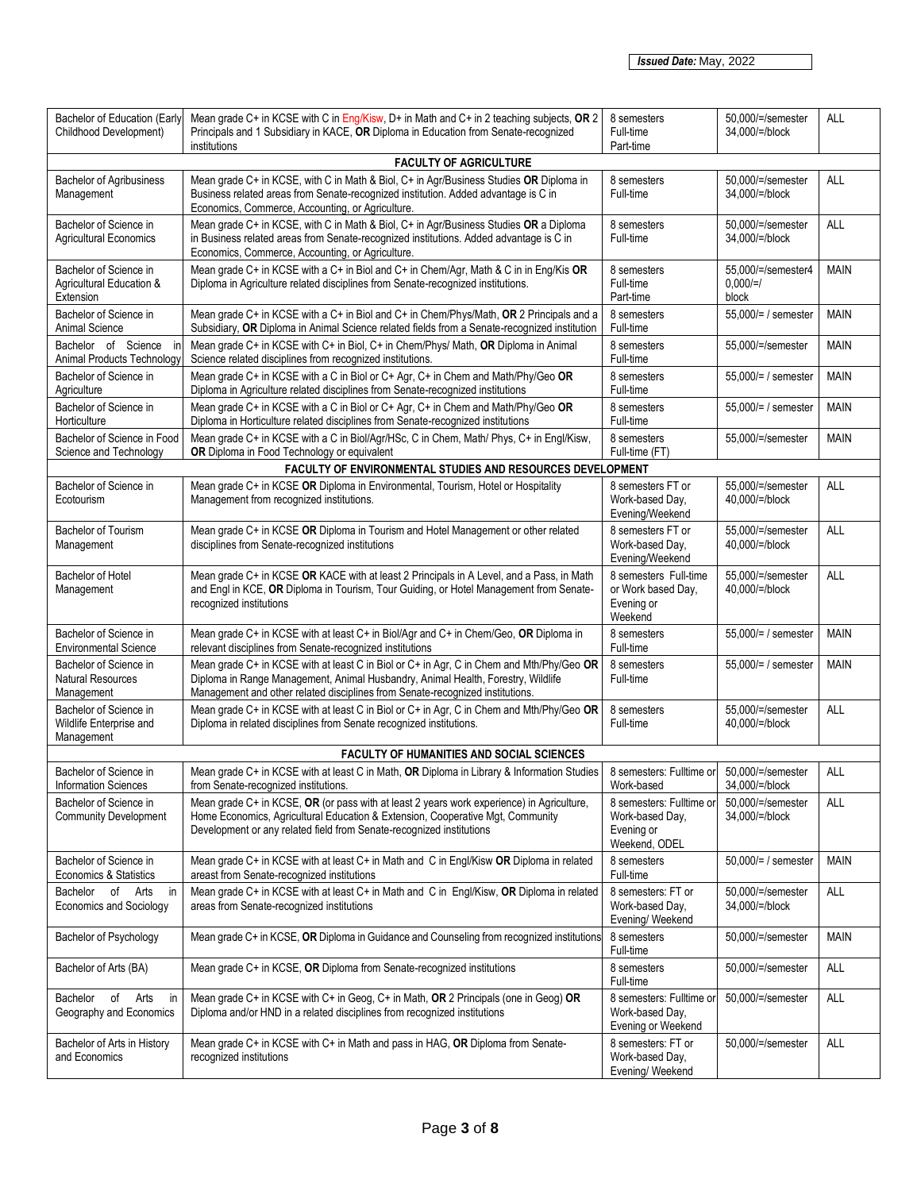| Bachelor of Education (Early<br>Childhood Development)           | Mean grade C+ in KCSE with C in Eng/Kisw, D+ in Math and C+ in 2 teaching subjects, OR 2<br>Principals and 1 Subsidiary in KACE, OR Diploma in Education from Senate-recognized<br>institutions                                                               | 8 semesters<br>Full-time<br>Part-time                                      | 50.000/=/semester<br>34,000/=/block        | ALL         |
|------------------------------------------------------------------|---------------------------------------------------------------------------------------------------------------------------------------------------------------------------------------------------------------------------------------------------------------|----------------------------------------------------------------------------|--------------------------------------------|-------------|
|                                                                  | <b>FACULTY OF AGRICULTURE</b>                                                                                                                                                                                                                                 |                                                                            |                                            |             |
| <b>Bachelor of Agribusiness</b><br>Management                    | Mean grade C+ in KCSE, with C in Math & Biol, C+ in Agr/Business Studies OR Diploma in<br>Business related areas from Senate-recognized institution. Added advantage is C in<br>Economics, Commerce, Accounting, or Agriculture.                              | 8 semesters<br>Full-time                                                   | 50.000/=/semester<br>34,000/=/block        | <b>ALL</b>  |
| Bachelor of Science in<br><b>Agricultural Economics</b>          | Mean grade C+ in KCSE, with C in Math & Biol, C+ in Agr/Business Studies OR a Diploma<br>in Business related areas from Senate-recognized institutions. Added advantage is C in<br>Economics, Commerce, Accounting, or Agriculture.                           | 8 semesters<br>Full-time                                                   | 50,000/=/semester<br>34,000/=/block        | <b>ALL</b>  |
| Bachelor of Science in<br>Agricultural Education &<br>Extension  | Mean grade C+ in KCSE with a C+ in Biol and C+ in Chem/Agr, Math & C in in Eng/Kis OR<br>Diploma in Agriculture related disciplines from Senate-recognized institutions.                                                                                      | 8 semesters<br>Full-time<br>Part-time                                      | 55.000/=/semester4<br>$0.000 = l$<br>block | <b>MAIN</b> |
| Bachelor of Science in<br>Animal Science                         | Mean grade C+ in KCSE with a C+ in Biol and C+ in Chem/Phys/Math, OR 2 Principals and a<br>Subsidiary, OR Diploma in Animal Science related fields from a Senate-recognized institution                                                                       | 8 semesters<br>Full-time                                                   | 55,000/= / semester                        | <b>MAIN</b> |
| Bachelor of Science<br>in<br><b>Animal Products Technology</b>   | Mean grade C+ in KCSE with C+ in Biol, C+ in Chem/Phys/ Math, OR Diploma in Animal<br>Science related disciplines from recognized institutions.                                                                                                               | 8 semesters<br>Full-time                                                   | 55,000/=/semester                          | <b>MAIN</b> |
| Bachelor of Science in<br>Agriculture                            | Mean grade C+ in KCSE with a C in Biol or C+ Agr, C+ in Chem and Math/Phy/Geo OR<br>Diploma in Agriculture related disciplines from Senate-recognized institutions                                                                                            | 8 semesters<br>Full-time                                                   | 55,000/= / semester                        | <b>MAIN</b> |
| Bachelor of Science in<br>Horticulture                           | Mean grade C+ in KCSE with a C in Biol or C+ Agr, C+ in Chem and Math/Phy/Geo OR<br>Diploma in Horticulture related disciplines from Senate-recognized institutions                                                                                           | 8 semesters<br>Full-time                                                   | 55,000/= / semester                        | <b>MAIN</b> |
| Bachelor of Science in Food<br>Science and Technology            | Mean grade C+ in KCSE with a C in Biol/Agr/HSc, C in Chem, Math/ Phys, C+ in Engl/Kisw,<br>OR Diploma in Food Technology or equivalent                                                                                                                        | 8 semesters<br>Full-time (FT)                                              | 55,000/=/semester                          | <b>MAIN</b> |
|                                                                  | <b>FACULTY OF ENVIRONMENTAL STUDIES AND RESOURCES DEVELOPMENT</b>                                                                                                                                                                                             |                                                                            |                                            |             |
| Bachelor of Science in<br>Ecotourism                             | Mean grade C+ in KCSE OR Diploma in Environmental, Tourism, Hotel or Hospitality<br>Management from recognized institutions.                                                                                                                                  | 8 semesters FT or<br>Work-based Day,<br>Evening/Weekend                    | 55,000/=/semester<br>40,000/=/block        | <b>ALL</b>  |
| <b>Bachelor of Tourism</b><br>Management                         | Mean grade C+ in KCSE OR Diploma in Tourism and Hotel Management or other related<br>disciplines from Senate-recognized institutions                                                                                                                          | 8 semesters FT or<br>Work-based Day,<br>Evening/Weekend                    | 55,000/=/semester<br>40,000/=/block        | ALL         |
| <b>Bachelor of Hotel</b><br>Management                           | Mean grade C+ in KCSE OR KACE with at least 2 Principals in A Level, and a Pass, in Math<br>and Engl in KCE, OR Diploma in Tourism, Tour Guiding, or Hotel Management from Senate-<br>recognized institutions                                                 | 8 semesters Full-time<br>or Work based Day,<br>Evening or<br>Weekend       | 55,000/=/semester<br>40,000/=/block        | ALL         |
| Bachelor of Science in<br><b>Environmental Science</b>           | Mean grade C+ in KCSE with at least C+ in Biol/Agr and C+ in Chem/Geo, OR Diploma in<br>relevant disciplines from Senate-recognized institutions                                                                                                              | 8 semesters<br>Full-time                                                   | 55,000/= / semester                        | <b>MAIN</b> |
| Bachelor of Science in<br><b>Natural Resources</b><br>Management | Mean grade C+ in KCSE with at least C in Biol or C+ in Agr, C in Chem and Mth/Phy/Geo OR<br>Diploma in Range Management, Animal Husbandry, Animal Health, Forestry, Wildlife<br>Management and other related disciplines from Senate-recognized institutions. | 8 semesters<br>Full-time                                                   | 55,000/= / semester                        | <b>MAIN</b> |
| Bachelor of Science in<br>Wildlife Enterprise and<br>Management  | Mean grade C+ in KCSE with at least C in Biol or C+ in Agr, C in Chem and Mth/Phy/Geo OR<br>Diploma in related disciplines from Senate recognized institutions.                                                                                               | 8 semesters<br>Full-time                                                   | 55.000/=/semester<br>40.000/=/block        | ALL         |
|                                                                  | <b>FACULTY OF HUMANITIES AND SOCIAL SCIENCES</b>                                                                                                                                                                                                              |                                                                            |                                            |             |
| Bachelor of Science in<br><b>Information Sciences</b>            | Mean grade C+ in KCSE with at least C in Math, OR Diploma in Library & Information Studies<br>from Senate-recognized institutions.                                                                                                                            | 8 semesters: Fulltime or<br>Work-based                                     | 50,000/=/semester<br>34,000/=/block        | ALL         |
| Bachelor of Science in<br><b>Community Development</b>           | Mean grade C+ in KCSE, OR (or pass with at least 2 years work experience) in Agriculture,<br>Home Economics, Agricultural Education & Extension, Cooperative Mgt, Community<br>Development or any related field from Senate-recognized institutions           | 8 semesters: Fulltime or<br>Work-based Day,<br>Evening or<br>Weekend, ODEL | 50,000/=/semester<br>34,000/=/block        | ALL         |
| Bachelor of Science in<br>Economics & Statistics                 | Mean grade C+ in KCSE with at least C+ in Math and C in Engl/Kisw OR Diploma in related<br>areast from Senate-recognized institutions                                                                                                                         | 8 semesters<br>Full-time                                                   | 50,000/= / semester                        | <b>MAIN</b> |
| Bachelor of Arts<br>in<br><b>Economics and Sociology</b>         | Mean grade C+ in KCSE with at least C+ in Math and C in Engl/Kisw, OR Diploma in related<br>areas from Senate-recognized institutions                                                                                                                         | 8 semesters: FT or<br>Work-based Day,<br>Evening/Weekend                   | 50,000/=/semester<br>34,000/=/block        | ALL         |
| <b>Bachelor of Psychology</b>                                    | Mean grade C+ in KCSE, OR Diploma in Guidance and Counseling from recognized institutions                                                                                                                                                                     | 8 semesters<br>Full-time                                                   | 50,000/=/semester                          | <b>MAIN</b> |
| Bachelor of Arts (BA)                                            | Mean grade C+ in KCSE, OR Diploma from Senate-recognized institutions                                                                                                                                                                                         | 8 semesters<br>Full-time                                                   | 50,000/=/semester                          | <b>ALL</b>  |
| Bachelor<br>of<br>Arts<br>in<br>Geography and Economics          | Mean grade C+ in KCSE with C+ in Geog, C+ in Math, OR 2 Principals (one in Geog) OR<br>Diploma and/or HND in a related disciplines from recognized institutions                                                                                               | 8 semesters: Fulltime or<br>Work-based Day,<br>Evening or Weekend          | 50,000/=/semester                          | ALL         |
| Bachelor of Arts in History<br>and Economics                     | Mean grade C+ in KCSE with C+ in Math and pass in HAG, OR Diploma from Senate-<br>recognized institutions                                                                                                                                                     | 8 semesters: FT or<br>Work-based Day,<br>Evening/Weekend                   | 50,000/=/semester                          | ALL         |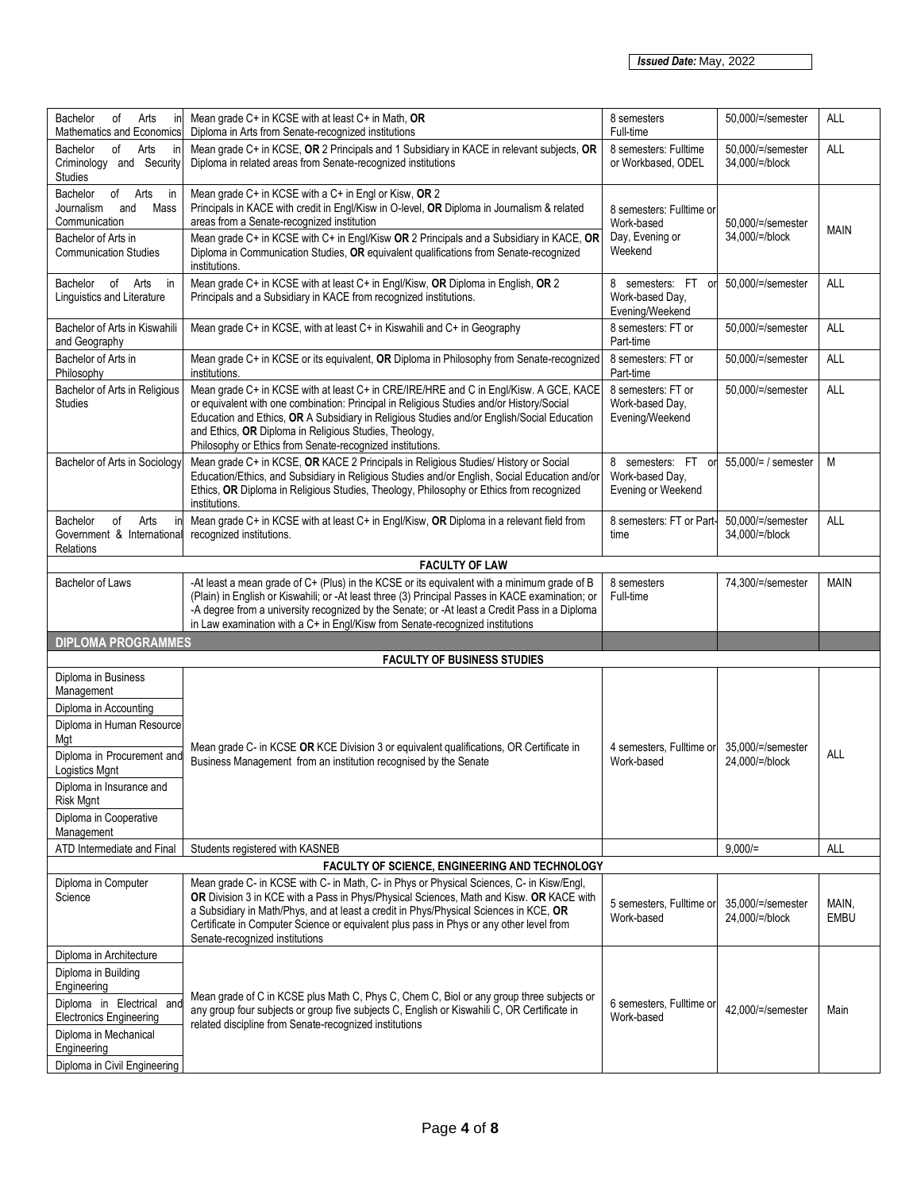| Bachelor<br>Arts<br>of<br>in<br><b>Mathematics and Economics</b>                                                               | Mean grade C+ in KCSE with at least C+ in Math, OR<br>Diploma in Arts from Senate-recognized institutions                                                                                                                                                                                                                                                                                                 | 8 semesters<br>Full-time                                             | 50,000/=/semester                   | <b>ALL</b>    |
|--------------------------------------------------------------------------------------------------------------------------------|-----------------------------------------------------------------------------------------------------------------------------------------------------------------------------------------------------------------------------------------------------------------------------------------------------------------------------------------------------------------------------------------------------------|----------------------------------------------------------------------|-------------------------------------|---------------|
| Arts<br>Bachelor<br>of<br>in<br>Criminology and Security<br>Studies                                                            | Mean grade C+ in KCSE, OR 2 Principals and 1 Subsidiary in KACE in relevant subjects, OR<br>Diploma in related areas from Senate-recognized institutions                                                                                                                                                                                                                                                  | 8 semesters: Fulltime<br>or Workbased, ODEL                          | 50,000/=/semester<br>34,000/=/block | ALL           |
| of Arts<br>Bachelor<br>in<br>Journalism<br>Mass<br>and<br>Communication<br>Bachelor of Arts in<br><b>Communication Studies</b> | Mean grade C+ in KCSE with a C+ in Engl or Kisw, OR 2<br>Principals in KACE with credit in Engl/Kisw in O-level, OR Diploma in Journalism & related<br>areas from a Senate-recognized institution<br>Mean grade C+ in KCSE with C+ in Engl/Kisw OR 2 Principals and a Subsidiary in KACE, OR<br>Diploma in Communication Studies, OR equivalent qualifications from Senate-recognized<br>institutions.    | 8 semesters: Fulltime or<br>Work-based<br>Day, Evening or<br>Weekend | 50,000/=/semester<br>34,000/=/block | <b>MAIN</b>   |
| Bachelor of<br>Arts<br>in<br>Linguistics and Literature                                                                        | Mean grade C+ in KCSE with at least C+ in Engl/Kisw, OR Diploma in English, OR 2<br>Principals and a Subsidiary in KACE from recognized institutions.                                                                                                                                                                                                                                                     | 8 semesters: FT<br>or<br>Work-based Day,<br>Evening/Weekend          | 50,000/=/semester                   | <b>ALL</b>    |
| Bachelor of Arts in Kiswahili<br>and Geography                                                                                 | Mean grade C+ in KCSE, with at least C+ in Kiswahili and C+ in Geography                                                                                                                                                                                                                                                                                                                                  | 8 semesters: FT or<br>Part-time                                      | 50,000/=/semester                   | <b>ALL</b>    |
| Bachelor of Arts in<br>Philosophy                                                                                              | Mean grade C+ in KCSE or its equivalent, OR Diploma in Philosophy from Senate-recognized<br>institutions.                                                                                                                                                                                                                                                                                                 | 8 semesters: FT or<br>Part-time                                      | 50,000/=/semester                   | ALL           |
| Bachelor of Arts in Religious<br>Studies                                                                                       | Mean grade C+ in KCSE with at least C+ in CRE/IRE/HRE and C in Engl/Kisw. A GCE, KACE<br>or equivalent with one combination: Principal in Religious Studies and/or History/Social<br>Education and Ethics, OR A Subsidiary in Religious Studies and/or English/Social Education<br>and Ethics, OR Diploma in Religious Studies, Theology,<br>Philosophy or Ethics from Senate-recognized institutions.    | 8 semesters: FT or<br>Work-based Day,<br>Evening/Weekend             | 50,000/=/semester                   | ALL           |
| Bachelor of Arts in Sociology                                                                                                  | Mean grade C+ in KCSE, OR KACE 2 Principals in Religious Studies/ History or Social<br>Education/Ethics, and Subsidiary in Religious Studies and/or English, Social Education and/or<br>Ethics, OR Diploma in Religious Studies, Theology, Philosophy or Ethics from recognized<br>institutions.                                                                                                          | 8 semesters: FT<br>or<br>Work-based Day,<br>Evening or Weekend       | 55,000/= / semester                 | M             |
| Bachelor<br>of<br>Arts<br>in<br>Government & International<br>Relations                                                        | Mean grade C+ in KCSE with at least C+ in Engl/Kisw, OR Diploma in a relevant field from<br>recognized institutions.                                                                                                                                                                                                                                                                                      | 8 semesters: FT or Part-<br>time                                     | 50,000/=/semester<br>34,000/=/block | <b>ALL</b>    |
|                                                                                                                                | <b>FACULTY OF LAW</b>                                                                                                                                                                                                                                                                                                                                                                                     |                                                                      |                                     |               |
| <b>Bachelor of Laws</b>                                                                                                        | -At least a mean grade of C+ (Plus) in the KCSE or its equivalent with a minimum grade of B<br>(Plain) in English or Kiswahili; or -At least three (3) Principal Passes in KACE examination; or<br>-A degree from a university recognized by the Senate; or -At least a Credit Pass in a Diploma<br>in Law examination with a C+ in Engl/Kisw from Senate-recognized institutions                         | 8 semesters<br>Full-time                                             | 74,300/=/semester                   | <b>MAIN</b>   |
| <b>DIPLOMA PROGRAMMES</b>                                                                                                      |                                                                                                                                                                                                                                                                                                                                                                                                           |                                                                      |                                     |               |
|                                                                                                                                | <b>FACULTY OF BUSINESS STUDIES</b>                                                                                                                                                                                                                                                                                                                                                                        |                                                                      |                                     |               |
|                                                                                                                                |                                                                                                                                                                                                                                                                                                                                                                                                           |                                                                      |                                     |               |
| Diploma in Business<br>Management                                                                                              |                                                                                                                                                                                                                                                                                                                                                                                                           |                                                                      |                                     |               |
| Diploma in Accounting                                                                                                          |                                                                                                                                                                                                                                                                                                                                                                                                           |                                                                      |                                     |               |
| Diploma in Human Resource<br>Mgt                                                                                               |                                                                                                                                                                                                                                                                                                                                                                                                           |                                                                      |                                     |               |
| Diploma in Procurement and<br>Logistics Mgnt                                                                                   | Mean grade C- in KCSE OR KCE Division 3 or equivalent qualifications, OR Certificate in<br>Business Management from an institution recognised by the Senate                                                                                                                                                                                                                                               | 4 semesters, Fulltime or<br>Work-based                               | 35.000/=/semester<br>24,000/=/block | ALL           |
| Diploma in Insurance and<br>Risk Mgnt                                                                                          |                                                                                                                                                                                                                                                                                                                                                                                                           |                                                                      |                                     |               |
| Diploma in Cooperative<br>Management                                                                                           |                                                                                                                                                                                                                                                                                                                                                                                                           |                                                                      |                                     |               |
| ATD Intermediate and Final                                                                                                     | Students registered with KASNEB                                                                                                                                                                                                                                                                                                                                                                           |                                                                      | $9.000 =$                           | <b>ALL</b>    |
|                                                                                                                                | FACULTY OF SCIENCE, ENGINEERING AND TECHNOLOGY                                                                                                                                                                                                                                                                                                                                                            |                                                                      |                                     |               |
| Diploma in Computer<br>Science                                                                                                 | Mean grade C- in KCSE with C- in Math, C- in Phys or Physical Sciences, C- in Kisw/Engl,<br>OR Division 3 in KCE with a Pass in Phys/Physical Sciences, Math and Kisw. OR KACE with<br>a Subsidiary in Math/Phys, and at least a credit in Phys/Physical Sciences in KCE, OR<br>Certificate in Computer Science or equivalent plus pass in Phys or any other level from<br>Senate-recognized institutions | 5 semesters, Fulltime or<br>Work-based                               | 35,000/=/semester<br>24,000/=/block | MAIN,<br>EMBU |
| Diploma in Architecture                                                                                                        |                                                                                                                                                                                                                                                                                                                                                                                                           |                                                                      |                                     |               |
| Diploma in Building                                                                                                            |                                                                                                                                                                                                                                                                                                                                                                                                           |                                                                      |                                     |               |
| Engineering<br>Diploma in Electrical and<br><b>Electronics Engineering</b>                                                     | Mean grade of C in KCSE plus Math C, Phys C, Chem C, Biol or any group three subjects or<br>any group four subjects or group five subjects C, English or Kiswahili C, OR Certificate in                                                                                                                                                                                                                   | 6 semesters, Fulltime or<br>Work-based                               | 42,000/=/semester                   | Main          |
| Diploma in Mechanical<br>Engineering<br>Diploma in Civil Engineering                                                           | related discipline from Senate-recognized institutions                                                                                                                                                                                                                                                                                                                                                    |                                                                      |                                     |               |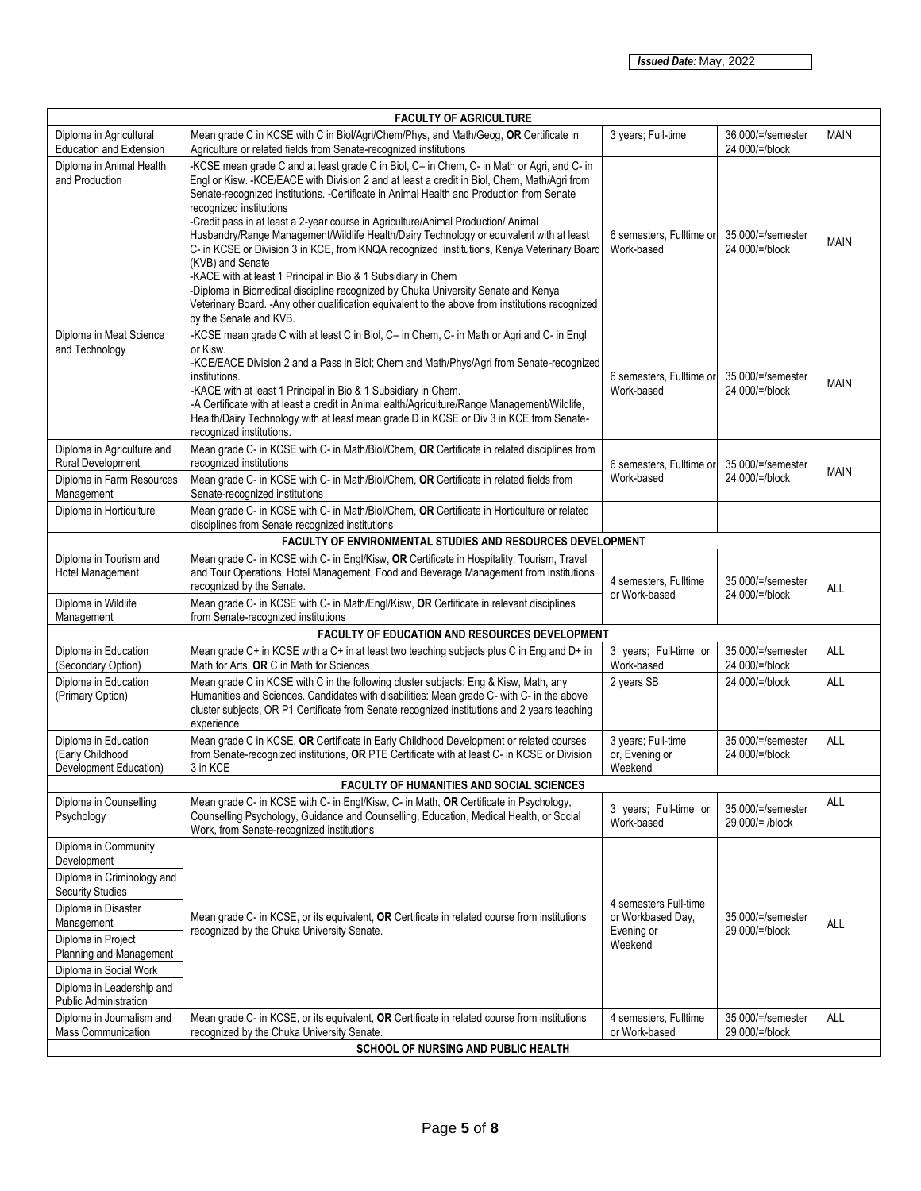| <b>FACULTY OF AGRICULTURE</b>                                                                                                                                                                 |                                                                                                                                                                                                                                                                                                                                                                                                                                                                                                                                                                                                                                                                                                                                                                                                                                                                                                         |                                                                     |                                      |             |  |
|-----------------------------------------------------------------------------------------------------------------------------------------------------------------------------------------------|---------------------------------------------------------------------------------------------------------------------------------------------------------------------------------------------------------------------------------------------------------------------------------------------------------------------------------------------------------------------------------------------------------------------------------------------------------------------------------------------------------------------------------------------------------------------------------------------------------------------------------------------------------------------------------------------------------------------------------------------------------------------------------------------------------------------------------------------------------------------------------------------------------|---------------------------------------------------------------------|--------------------------------------|-------------|--|
| Diploma in Agricultural<br><b>Education and Extension</b>                                                                                                                                     | Mean grade C in KCSE with C in Biol/Agri/Chem/Phys, and Math/Geog, OR Certificate in<br>Agriculture or related fields from Senate-recognized institutions                                                                                                                                                                                                                                                                                                                                                                                                                                                                                                                                                                                                                                                                                                                                               | 3 years; Full-time                                                  | 36,000/=/semester<br>24,000/=/block  | <b>MAIN</b> |  |
| Diploma in Animal Health<br>and Production                                                                                                                                                    | -KCSE mean grade C and at least grade C in Biol, C- in Chem, C- in Math or Agri, and C- in<br>Engl or Kisw. - KCE/EACE with Division 2 and at least a credit in Biol, Chem, Math/Agri from<br>Senate-recognized institutions. -Certificate in Animal Health and Production from Senate<br>recognized institutions<br>-Credit pass in at least a 2-year course in Agriculture/Animal Production/ Animal<br>Husbandry/Range Management/Wildlife Health/Dairy Technology or equivalent with at least<br>C- in KCSE or Division 3 in KCE, from KNQA recognized institutions, Kenya Veterinary Board<br>(KVB) and Senate<br>-KACE with at least 1 Principal in Bio & 1 Subsidiary in Chem<br>-Diploma in Biomedical discipline recognized by Chuka University Senate and Kenya<br>Veterinary Board. - Any other qualification equivalent to the above from institutions recognized<br>by the Senate and KVB. | 6 semesters, Fulltime or<br>Work-based                              | 35,000/=/semester<br>24,000/=/block  | <b>MAIN</b> |  |
| Diploma in Meat Science<br>and Technology                                                                                                                                                     | -KCSE mean grade C with at least C in Biol, C- in Chem, C- in Math or Agri and C- in Engl<br>or Kisw.<br>-KCE/EACE Division 2 and a Pass in Biol; Chem and Math/Phys/Agri from Senate-recognized<br>institutions.<br>-KACE with at least 1 Principal in Bio & 1 Subsidiary in Chem.<br>-A Certificate with at least a credit in Animal ealth/Agriculture/Range Management/Wildlife,<br>Health/Dairy Technology with at least mean grade D in KCSE or Div 3 in KCE from Senate-<br>recognized institutions.                                                                                                                                                                                                                                                                                                                                                                                              | 6 semesters, Fulltime or<br>Work-based                              | 35,000/=/semester<br>24,000/=/block  | <b>MAIN</b> |  |
| Diploma in Agriculture and<br>Rural Development                                                                                                                                               | Mean grade C- in KCSE with C- in Math/Biol/Chem, OR Certificate in related disciplines from<br>recognized institutions                                                                                                                                                                                                                                                                                                                                                                                                                                                                                                                                                                                                                                                                                                                                                                                  | 6 semesters, Fulltime or<br>Work-based                              | 35,000/=/semester                    | MAIN        |  |
| Diploma in Farm Resources<br>Management                                                                                                                                                       | Mean grade C- in KCSE with C- in Math/Biol/Chem, OR Certificate in related fields from<br>Senate-recognized institutions                                                                                                                                                                                                                                                                                                                                                                                                                                                                                                                                                                                                                                                                                                                                                                                |                                                                     | 24,000/=/block                       |             |  |
| Diploma in Horticulture                                                                                                                                                                       | Mean grade C- in KCSE with C- in Math/Biol/Chem, OR Certificate in Horticulture or related<br>disciplines from Senate recognized institutions                                                                                                                                                                                                                                                                                                                                                                                                                                                                                                                                                                                                                                                                                                                                                           |                                                                     |                                      |             |  |
| FACULTY OF ENVIRONMENTAL STUDIES AND RESOURCES DEVELOPMENT                                                                                                                                    |                                                                                                                                                                                                                                                                                                                                                                                                                                                                                                                                                                                                                                                                                                                                                                                                                                                                                                         |                                                                     |                                      |             |  |
| Diploma in Tourism and<br>Hotel Management                                                                                                                                                    | Mean grade C- in KCSE with C- in Engl/Kisw, OR Certificate in Hospitality, Tourism, Travel<br>and Tour Operations, Hotel Management, Food and Beverage Management from institutions<br>recognized by the Senate.                                                                                                                                                                                                                                                                                                                                                                                                                                                                                                                                                                                                                                                                                        | 4 semesters, Fulltime<br>or Work-based                              | 35,000/=/semester<br>24,000/=/block  | ALL         |  |
| Diploma in Wildlife<br>Management                                                                                                                                                             | Mean grade C- in KCSE with C- in Math/Engl/Kisw, OR Certificate in relevant disciplines<br>from Senate-recognized institutions                                                                                                                                                                                                                                                                                                                                                                                                                                                                                                                                                                                                                                                                                                                                                                          |                                                                     |                                      |             |  |
|                                                                                                                                                                                               | FACULTY OF EDUCATION AND RESOURCES DEVELOPMENT                                                                                                                                                                                                                                                                                                                                                                                                                                                                                                                                                                                                                                                                                                                                                                                                                                                          |                                                                     |                                      |             |  |
| Diploma in Education<br>(Secondary Option)                                                                                                                                                    | Mean grade C+ in KCSE with a C+ in at least two teaching subjects plus C in Eng and D+ in<br>Math for Arts, OR C in Math for Sciences                                                                                                                                                                                                                                                                                                                                                                                                                                                                                                                                                                                                                                                                                                                                                                   | 3 years; Full-time or<br>Work-based                                 | 35,000/=/semester<br>24,000/=/block  | ALL         |  |
| Diploma in Education<br>(Primary Option)                                                                                                                                                      | Mean grade C in KCSE with C in the following cluster subjects: Eng & Kisw, Math, any<br>Humanities and Sciences. Candidates with disabilities: Mean grade C- with C- in the above<br>cluster subjects, OR P1 Certificate from Senate recognized institutions and 2 years teaching<br>experience                                                                                                                                                                                                                                                                                                                                                                                                                                                                                                                                                                                                         | 2 years SB                                                          | 24,000/=/block                       | ALL         |  |
| Diploma in Education<br>(Early Childhood<br>Development Education)                                                                                                                            | Mean grade C in KCSE, OR Certificate in Early Childhood Development or related courses<br>from Senate-recognized institutions, OR PTE Certificate with at least C- in KCSE or Division<br>3 in KCE                                                                                                                                                                                                                                                                                                                                                                                                                                                                                                                                                                                                                                                                                                      | 3 years; Full-time<br>or, Evening or<br>Weekend                     | 35.000/=/semester<br>24,000/=/block  | ALL         |  |
|                                                                                                                                                                                               | FACULTY OF HUMANITIES AND SOCIAL SCIENCES                                                                                                                                                                                                                                                                                                                                                                                                                                                                                                                                                                                                                                                                                                                                                                                                                                                               |                                                                     |                                      |             |  |
| Diploma in Counselling<br>Psychology                                                                                                                                                          | Mean grade C- in KCSE with C- in Engl/Kisw, C- in Math, OR Certificate in Psychology,<br>Counselling Psychology, Guidance and Counselling, Education, Medical Health, or Social<br>Work, from Senate-recognized institutions                                                                                                                                                                                                                                                                                                                                                                                                                                                                                                                                                                                                                                                                            | 3 years; Full-time or<br>Work-based                                 | 35,000/=/semester<br>29,000/= /block | ALL         |  |
| Diploma in Community<br>Development<br>Diploma in Criminology and                                                                                                                             |                                                                                                                                                                                                                                                                                                                                                                                                                                                                                                                                                                                                                                                                                                                                                                                                                                                                                                         |                                                                     |                                      |             |  |
| <b>Security Studies</b><br>Diploma in Disaster<br>Management<br>Diploma in Project<br>Planning and Management<br>Diploma in Social Work<br>Diploma in Leadership and<br>Public Administration | Mean grade C- in KCSE, or its equivalent, OR Certificate in related course from institutions<br>recognized by the Chuka University Senate.                                                                                                                                                                                                                                                                                                                                                                                                                                                                                                                                                                                                                                                                                                                                                              | 4 semesters Full-time<br>or Workbased Day,<br>Evening or<br>Weekend | 35,000/=/semester<br>29,000/=/block  | <b>ALL</b>  |  |
| Diploma in Journalism and<br>Mass Communication                                                                                                                                               | Mean grade C- in KCSE, or its equivalent, OR Certificate in related course from institutions<br>recognized by the Chuka University Senate.<br><b>SCHOOL OF NURSING AND PUBLIC HEALTH</b>                                                                                                                                                                                                                                                                                                                                                                                                                                                                                                                                                                                                                                                                                                                | 4 semesters, Fulltime<br>or Work-based                              | 35,000/=/semester<br>29,000/=/block  | ALL         |  |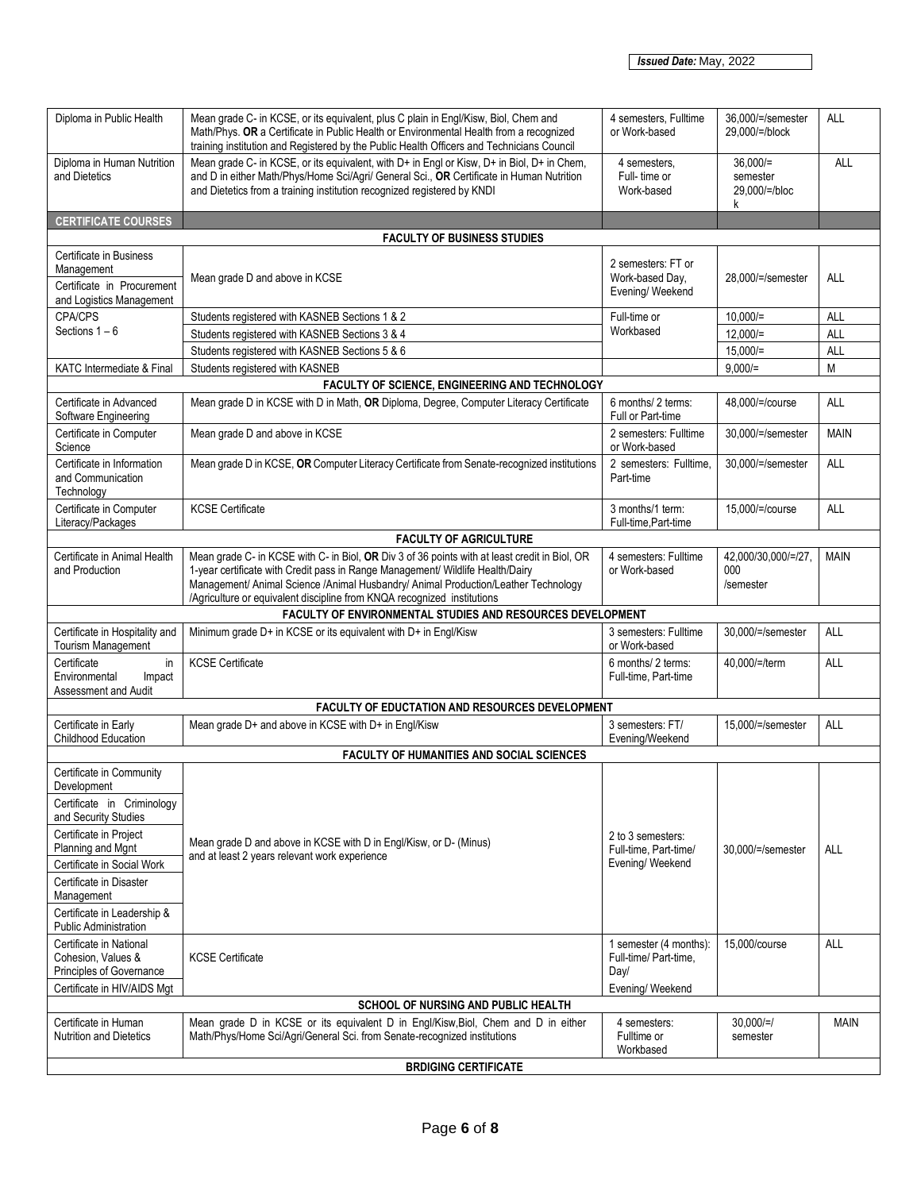| Diploma in Public Health                                                                                 | Mean grade C- in KCSE, or its equivalent, plus C plain in Engl/Kisw, Biol, Chem and<br>Math/Phys. OR a Certificate in Public Health or Environmental Health from a recognized<br>training institution and Registered by the Public Health Officers and Technicians Council                                                                       | 4 semesters. Fulltime<br>or Work-based                   | 36.000/=/semester<br>29,000/=/block          | ALL         |  |
|----------------------------------------------------------------------------------------------------------|--------------------------------------------------------------------------------------------------------------------------------------------------------------------------------------------------------------------------------------------------------------------------------------------------------------------------------------------------|----------------------------------------------------------|----------------------------------------------|-------------|--|
| Diploma in Human Nutrition<br>and Dietetics                                                              | Mean grade C- in KCSE, or its equivalent, with D+ in Engl or Kisw, D+ in Biol, D+ in Chem,<br>and D in either Math/Phys/Home Sci/Agri/ General Sci., OR Certificate in Human Nutrition<br>and Dietetics from a training institution recognized registered by KNDI                                                                                | 4 semesters,<br>Full-time or<br>Work-based               | $36,000/=$<br>semester<br>29.000/=/bloc<br>k | <b>ALL</b>  |  |
| <b>CERTIFICATE COURSES</b>                                                                               |                                                                                                                                                                                                                                                                                                                                                  |                                                          |                                              |             |  |
|                                                                                                          | <b>FACULTY OF BUSINESS STUDIES</b>                                                                                                                                                                                                                                                                                                               |                                                          |                                              |             |  |
| Certificate in Business<br>Management<br>Certificate in Procurement                                      | Mean grade D and above in KCSE                                                                                                                                                                                                                                                                                                                   | 2 semesters: FT or<br>Work-based Day,<br>Evening/Weekend | 28,000/=/semester                            | <b>ALL</b>  |  |
| and Logistics Management                                                                                 |                                                                                                                                                                                                                                                                                                                                                  |                                                          |                                              |             |  |
| CPA/CPS<br>Sections $1 - 6$                                                                              | Students registered with KASNEB Sections 1 & 2                                                                                                                                                                                                                                                                                                   | Full-time or<br>Workbased                                | $10.000 =$                                   | ALL         |  |
|                                                                                                          | Students registered with KASNEB Sections 3 & 4                                                                                                                                                                                                                                                                                                   |                                                          | $12,000/=$                                   | ALL         |  |
| KATC Intermediate & Final                                                                                | Students registered with KASNEB Sections 5 & 6<br>Students registered with KASNEB                                                                                                                                                                                                                                                                |                                                          | $15,000/=$<br>$9,000/=$                      | ALL<br>M    |  |
|                                                                                                          | FACULTY OF SCIENCE, ENGINEERING AND TECHNOLOGY                                                                                                                                                                                                                                                                                                   |                                                          |                                              |             |  |
| Certificate in Advanced<br>Software Engineering                                                          | Mean grade D in KCSE with D in Math, OR Diploma, Degree, Computer Literacy Certificate                                                                                                                                                                                                                                                           | 6 months/ 2 terms:<br>Full or Part-time                  | 48.000/=/course                              | <b>ALL</b>  |  |
| Certificate in Computer<br>Science                                                                       | Mean grade D and above in KCSE                                                                                                                                                                                                                                                                                                                   | 2 semesters: Fulltime<br>or Work-based                   | 30,000/=/semester                            | <b>MAIN</b> |  |
| Certificate in Information<br>and Communication<br>Technology                                            | Mean grade D in KCSE, OR Computer Literacy Certificate from Senate-recognized institutions                                                                                                                                                                                                                                                       | 2 semesters: Fulltime,<br>Part-time                      | 30,000/=/semester                            | <b>ALL</b>  |  |
| Certificate in Computer<br>Literacy/Packages                                                             | <b>KCSE Certificate</b>                                                                                                                                                                                                                                                                                                                          | 3 months/1 term:<br>Full-time, Part-time                 | 15,000/=/course                              | <b>ALL</b>  |  |
|                                                                                                          | <b>FACULTY OF AGRICULTURE</b>                                                                                                                                                                                                                                                                                                                    |                                                          |                                              |             |  |
| Certificate in Animal Health<br>and Production                                                           | Mean grade C- in KCSE with C- in Biol, OR Div 3 of 36 points with at least credit in Biol, OR<br>1-year certificate with Credit pass in Range Management/ Wildlife Health/Dairy<br>Management/ Animal Science /Animal Husbandry/ Animal Production/Leather Technology<br>/Agriculture or equivalent discipline from KNQA recognized institutions | 4 semesters: Fulltime<br>or Work-based                   | 42,000/30,000/=/27,<br>000<br>/semester      | <b>MAIN</b> |  |
|                                                                                                          | FACULTY OF ENVIRONMENTAL STUDIES AND RESOURCES DEVELOPMENT                                                                                                                                                                                                                                                                                       |                                                          |                                              |             |  |
| Certificate in Hospitality and<br>Tourism Management                                                     | Minimum grade D+ in KCSE or its equivalent with D+ in Engl/Kisw                                                                                                                                                                                                                                                                                  | 3 semesters: Fulltime<br>or Work-based                   | 30,000/=/semester                            | ALL         |  |
| Certificate<br>in<br>Environmental<br>Impact<br>Assessment and Audit                                     | <b>KCSE Certificate</b>                                                                                                                                                                                                                                                                                                                          | 6 months/ 2 terms:<br>Full-time, Part-time               | 40,000/=/term                                | ALL         |  |
|                                                                                                          | FACULTY OF EDUCTATION AND RESOURCES DEVELOPMENT                                                                                                                                                                                                                                                                                                  |                                                          |                                              |             |  |
| Certificate in Early<br>Childhood Education                                                              | Mean grade D+ and above in KCSE with D+ in Engl/Kisw                                                                                                                                                                                                                                                                                             | 3 semesters: FT/<br>Evening/Weekend                      | 15,000/=/semester                            | <b>ALL</b>  |  |
|                                                                                                          | <b>FACULTY OF HUMANITIES AND SOCIAL SCIENCES</b>                                                                                                                                                                                                                                                                                                 |                                                          |                                              |             |  |
| Certificate in Community<br>Development                                                                  |                                                                                                                                                                                                                                                                                                                                                  |                                                          |                                              |             |  |
| Certificate in Criminology<br>and Security Studies                                                       |                                                                                                                                                                                                                                                                                                                                                  |                                                          |                                              |             |  |
| Certificate in Project<br>Planning and Mgnt                                                              | Mean grade D and above in KCSE with D in Engl/Kisw, or D- (Minus)                                                                                                                                                                                                                                                                                | 2 to 3 semesters:<br>Full-time, Part-time/               | 30,000/=/semester                            | ALL         |  |
| Certificate in Social Work                                                                               | and at least 2 years relevant work experience                                                                                                                                                                                                                                                                                                    | Evening/Weekend                                          |                                              |             |  |
| Certificate in Disaster<br>Management                                                                    |                                                                                                                                                                                                                                                                                                                                                  |                                                          |                                              |             |  |
| Certificate in Leadership &<br><b>Public Administration</b>                                              |                                                                                                                                                                                                                                                                                                                                                  |                                                          |                                              |             |  |
| Certificate in National<br>Cohesion, Values &<br>Principles of Governance<br>Certificate in HIV/AIDS Mgt | <b>KCSE Certificate</b>                                                                                                                                                                                                                                                                                                                          | 1 semester (4 months):<br>Full-time/ Part-time.<br>Day/  | 15,000/course                                | <b>ALL</b>  |  |
|                                                                                                          | SCHOOL OF NURSING AND PUBLIC HEALTH                                                                                                                                                                                                                                                                                                              | Evening/ Weekend                                         |                                              |             |  |
| Certificate in Human<br><b>Nutrition and Dietetics</b>                                                   | Mean grade D in KCSE or its equivalent D in Engl/Kisw, Biol, Chem and D in either<br>Math/Phys/Home Sci/Agri/General Sci. from Senate-recognized institutions                                                                                                                                                                                    | 4 semesters:<br>Fulltime or<br>Workbased                 | $30,000/-$<br>semester                       | <b>MAIN</b> |  |
|                                                                                                          | <b>BRDIGING CERTIFICATE</b>                                                                                                                                                                                                                                                                                                                      |                                                          |                                              |             |  |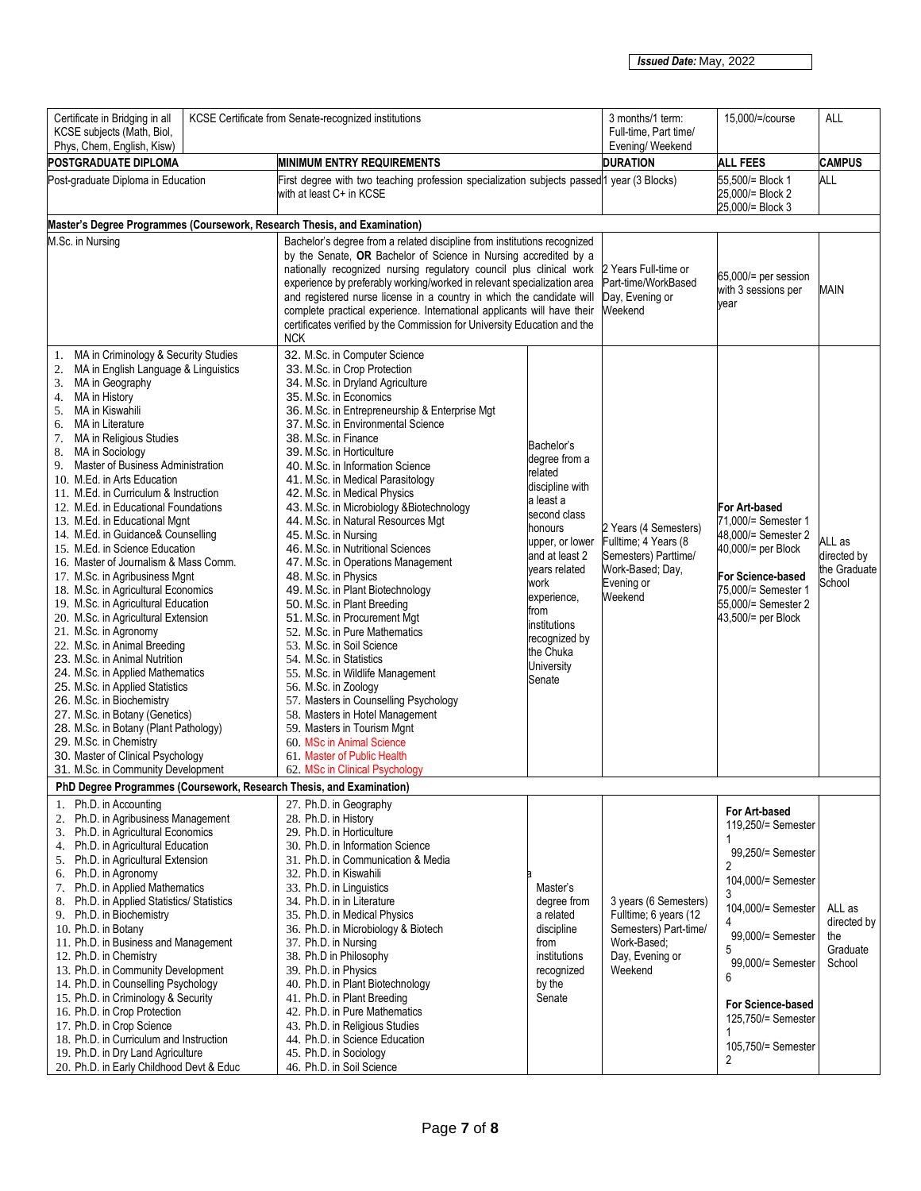| Certificate in Bridging in all<br>KCSE Certificate from Senate-recognized institutions<br>KCSE subjects (Math, Biol,<br>Phys, Chem, English, Kisw)                                                                                                                                                                                                                                                                                                                                                                                                                                                                                                                                                                                                                                                                                                                                                                                                                                                                                                                                                   |                                                                                                                                                                                                                                                                                                                                                                                                                                                                                                                                                                                                                                                                                                                                                                                                                                                                                                                                                                                                                                                                 | 3 months/1 term:<br>Full-time, Part time/<br>Evening/ Weekend                                                                                                                                                                                                | 15,000/=/course                                                                                                      | <b>ALL</b>                                                                                                                                                                                                                                                                        |                                                    |
|------------------------------------------------------------------------------------------------------------------------------------------------------------------------------------------------------------------------------------------------------------------------------------------------------------------------------------------------------------------------------------------------------------------------------------------------------------------------------------------------------------------------------------------------------------------------------------------------------------------------------------------------------------------------------------------------------------------------------------------------------------------------------------------------------------------------------------------------------------------------------------------------------------------------------------------------------------------------------------------------------------------------------------------------------------------------------------------------------|-----------------------------------------------------------------------------------------------------------------------------------------------------------------------------------------------------------------------------------------------------------------------------------------------------------------------------------------------------------------------------------------------------------------------------------------------------------------------------------------------------------------------------------------------------------------------------------------------------------------------------------------------------------------------------------------------------------------------------------------------------------------------------------------------------------------------------------------------------------------------------------------------------------------------------------------------------------------------------------------------------------------------------------------------------------------|--------------------------------------------------------------------------------------------------------------------------------------------------------------------------------------------------------------------------------------------------------------|----------------------------------------------------------------------------------------------------------------------|-----------------------------------------------------------------------------------------------------------------------------------------------------------------------------------------------------------------------------------------------------------------------------------|----------------------------------------------------|
| POSTGRADUATE DIPLOMA                                                                                                                                                                                                                                                                                                                                                                                                                                                                                                                                                                                                                                                                                                                                                                                                                                                                                                                                                                                                                                                                                 | <b>MINIMUM ENTRY REQUIREMENTS</b>                                                                                                                                                                                                                                                                                                                                                                                                                                                                                                                                                                                                                                                                                                                                                                                                                                                                                                                                                                                                                               |                                                                                                                                                                                                                                                              | <b>DURATION</b>                                                                                                      | <b>ALL FEES</b>                                                                                                                                                                                                                                                                   | <b>CAMPUS</b>                                      |
| Post-graduate Diploma in Education                                                                                                                                                                                                                                                                                                                                                                                                                                                                                                                                                                                                                                                                                                                                                                                                                                                                                                                                                                                                                                                                   | First degree with two teaching profession specialization subjects passed 1 year (3 Blocks)<br>with at least C+ in KCSE                                                                                                                                                                                                                                                                                                                                                                                                                                                                                                                                                                                                                                                                                                                                                                                                                                                                                                                                          |                                                                                                                                                                                                                                                              |                                                                                                                      | 55,500/= Block 1<br>25,000/= Block 2<br>25,000/= Block 3                                                                                                                                                                                                                          | <b>ALL</b>                                         |
| Master's Degree Programmes (Coursework, Research Thesis, and Examination)                                                                                                                                                                                                                                                                                                                                                                                                                                                                                                                                                                                                                                                                                                                                                                                                                                                                                                                                                                                                                            |                                                                                                                                                                                                                                                                                                                                                                                                                                                                                                                                                                                                                                                                                                                                                                                                                                                                                                                                                                                                                                                                 |                                                                                                                                                                                                                                                              |                                                                                                                      |                                                                                                                                                                                                                                                                                   |                                                    |
| M.Sc. in Nursing                                                                                                                                                                                                                                                                                                                                                                                                                                                                                                                                                                                                                                                                                                                                                                                                                                                                                                                                                                                                                                                                                     | Bachelor's degree from a related discipline from institutions recognized<br>by the Senate, OR Bachelor of Science in Nursing accredited by a<br>nationally recognized nursing regulatory council plus clinical work<br>experience by preferably working/worked in relevant specialization area<br>and registered nurse license in a country in which the candidate will<br>complete practical experience. International applicants will have their<br>certificates verified by the Commission for University Education and the<br><b>NCK</b>                                                                                                                                                                                                                                                                                                                                                                                                                                                                                                                    |                                                                                                                                                                                                                                                              | 2 Years Full-time or<br>Part-time/WorkBased<br>Day, Evening or<br>Weekend                                            | 65,000/= per session<br>with 3 sessions per<br>year                                                                                                                                                                                                                               | <b>MAIN</b>                                        |
| 1. MA in Criminology & Security Studies<br>MA in English Language & Linguistics<br>2.<br>MA in Geography<br>3.<br>MA in History<br>4.<br>MA in Kiswahili<br>5.<br>MA in Literature<br>6.<br>7.<br>MA in Religious Studies<br>MA in Sociology<br>8.<br>Master of Business Administration<br>9.<br>10. M.Ed. in Arts Education<br>11. M.Ed. in Curriculum & Instruction<br>12. M.Ed. in Educational Foundations<br>13. M.Ed. in Educational Mgnt<br>14. M.Ed. in Guidance& Counselling<br>15. M.Ed. in Science Education<br>16. Master of Journalism & Mass Comm.<br>17. M.Sc. in Agribusiness Mgnt<br>18. M.Sc. in Agricultural Economics<br>19. M.Sc. in Agricultural Education<br>20. M.Sc. in Agricultural Extension<br>21. M.Sc. in Agronomy<br>22. M.Sc. in Animal Breeding<br>23. M.Sc. in Animal Nutrition<br>24. M.Sc. in Applied Mathematics<br>25. M.Sc. in Applied Statistics<br>26. M.Sc. in Biochemistry<br>27. M.Sc. in Botany (Genetics)<br>28. M.Sc. in Botany (Plant Pathology)<br>29. M.Sc. in Chemistry<br>30. Master of Clinical Psychology<br>31. M.Sc. in Community Development | 32. M.Sc. in Computer Science<br>33. M.Sc. in Crop Protection<br>34. M.Sc. in Dryland Agriculture<br>35. M.Sc. in Economics<br>36. M.Sc. in Entrepreneurship & Enterprise Mgt<br>37. M.Sc. in Environmental Science<br>38. M.Sc. in Finance<br>39. M.Sc. in Horticulture<br>40. M.Sc. in Information Science<br>41. M.Sc. in Medical Parasitology<br>42. M.Sc. in Medical Physics<br>43. M.Sc. in Microbiology &Biotechnology<br>44. M.Sc. in Natural Resources Mgt<br>45. M.Sc. in Nursing<br>46. M.Sc. in Nutritional Sciences<br>47. M.Sc. in Operations Management<br>48. M.Sc. in Physics<br>49. M.Sc. in Plant Biotechnology<br>50. M.Sc. in Plant Breeding<br>51. M.Sc. in Procurement Mgt<br>52. M.Sc. in Pure Mathematics<br>53. M.Sc. in Soil Science<br>54. M.Sc. in Statistics<br>55. M.Sc. in Wildlife Management<br>56. M.Sc. in Zoology<br>57. Masters in Counselling Psychology<br>58. Masters in Hotel Management<br>59. Masters in Tourism Mgnt<br>60. MSc in Animal Science<br>61. Master of Public Health<br>62. MSc in Clinical Psychology | Bachelor's<br>degree from a<br>related<br>discipline with<br>a least a<br>second class<br>honours<br>upper, or lower<br>and at least 2<br>vears related<br>work<br>experience,<br>from<br>institutions<br>recognized by<br>the Chuka<br>University<br>Senate | 2 Years (4 Semesters)<br>Fulltime; 4 Years (8<br>Semesters) Parttime/<br>Work-Based; Day,<br>Evening or<br>Weekend   | For Art-based<br>71,000/= Semester 1<br>48,000/= Semester 2<br>40,000/= per Block<br>For Science-based<br>75,000/= Semester 1<br>55,000/= Semester 2<br>43,500/= per Block                                                                                                        | ALL as<br>directed by<br>the Graduate<br>School    |
| PhD Degree Programmes (Coursework, Research Thesis, and Examination)                                                                                                                                                                                                                                                                                                                                                                                                                                                                                                                                                                                                                                                                                                                                                                                                                                                                                                                                                                                                                                 |                                                                                                                                                                                                                                                                                                                                                                                                                                                                                                                                                                                                                                                                                                                                                                                                                                                                                                                                                                                                                                                                 |                                                                                                                                                                                                                                                              |                                                                                                                      |                                                                                                                                                                                                                                                                                   |                                                    |
| 1. Ph.D. in Accounting<br>Ph.D. in Agribusiness Management<br>2.<br>3. Ph.D. in Agricultural Economics<br>4. Ph.D. in Agricultural Education<br>5. Ph.D. in Agricultural Extension<br>6. Ph.D. in Agronomy<br>7. Ph.D. in Applied Mathematics<br>8. Ph.D. in Applied Statistics/ Statistics<br>9. Ph.D. in Biochemistry<br>10. Ph.D. in Botany<br>11. Ph.D. in Business and Management<br>12. Ph.D. in Chemistry<br>13. Ph.D. in Community Development<br>14. Ph.D. in Counselling Psychology<br>15. Ph.D. in Criminology & Security<br>16. Ph.D. in Crop Protection<br>17. Ph.D. in Crop Science<br>18. Ph.D. in Curriculum and Instruction<br>19. Ph.D. in Dry Land Agriculture<br>20. Ph.D. in Early Childhood Devt & Educ                                                                                                                                                                                                                                                                                                                                                                        | 27. Ph.D. in Geography<br>28. Ph.D. in History<br>29. Ph.D. in Horticulture<br>30. Ph.D. in Information Science<br>31. Ph.D. in Communication & Media<br>32. Ph.D. in Kiswahili<br>33. Ph.D. in Linguistics<br>34. Ph.D. in in Literature<br>35. Ph.D. in Medical Physics<br>36. Ph.D. in Microbiology & Biotech<br>37. Ph.D. in Nursing<br>38. Ph.D in Philosophy<br>39. Ph.D. in Physics<br>40. Ph.D. in Plant Biotechnology<br>41. Ph.D. in Plant Breeding<br>42. Ph.D. in Pure Mathematics<br>43. Ph.D. in Religious Studies<br>44. Ph.D. in Science Education<br>45. Ph.D. in Sociology<br>46. Ph.D. in Soil Science                                                                                                                                                                                                                                                                                                                                                                                                                                       | Master's<br>degree from<br>a related<br>discipline<br>from<br>institutions<br>recognized<br>by the<br>Senate                                                                                                                                                 | 3 years (6 Semesters)<br>Fulltime; 6 years (12<br>Semesters) Part-time/<br>Work-Based;<br>Day, Evening or<br>Weekend | For Art-based<br>119.250/= Semester<br>1<br>99,250/= Semester<br>$\overline{2}$<br>104,000/= Semester<br>3<br>104,000/= Semester<br>4<br>99,000/= Semester<br>5<br>99.000/= Semester<br>6<br>For Science-based<br>125,750/= Semester<br>1<br>105,750/= Semester<br>$\overline{2}$ | ALL as<br>directed by<br>the<br>Graduate<br>School |